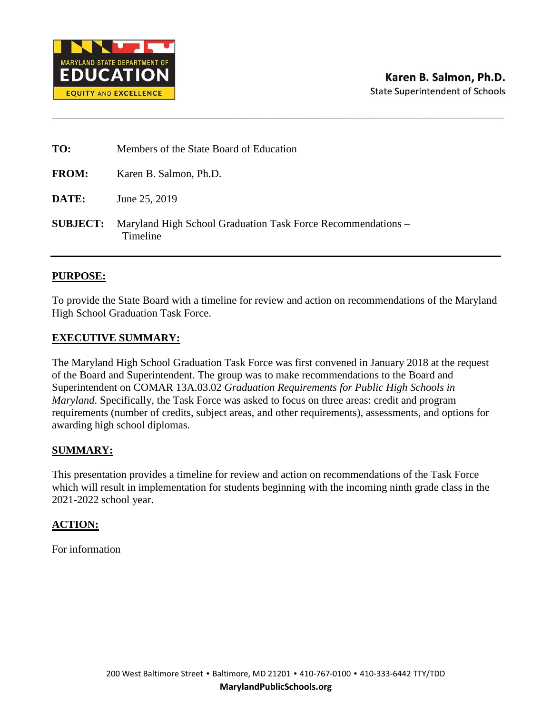

| TO:          | Members of the State Board of Education                                                  |
|--------------|------------------------------------------------------------------------------------------|
| <b>FROM:</b> | Karen B. Salmon, Ph.D.                                                                   |
| <b>DATE:</b> | June 25, 2019                                                                            |
|              | <b>SUBJECT:</b> Maryland High School Graduation Task Force Recommendations –<br>Timeline |

#### **PURPOSE:**

To provide the State Board with a timeline for review and action on recommendations of the Maryland High School Graduation Task Force.

#### **EXECUTIVE SUMMARY:**

The Maryland High School Graduation Task Force was first convened in January 2018 at the request of the Board and Superintendent. The group was to make recommendations to the Board and Superintendent on COMAR 13A.03.02 *Graduation Requirements for Public High Schools in Maryland*. Specifically, the Task Force was asked to focus on three areas: credit and program requirements (number of credits, subject areas, and other requirements), assessments, and options for awarding high school diplomas.

#### **SUMMARY:**

This presentation provides a timeline for review and action on recommendations of the Task Force which will result in implementation for students beginning with the incoming ninth grade class in the 2021-2022 school year.

#### **ACTION:**

For information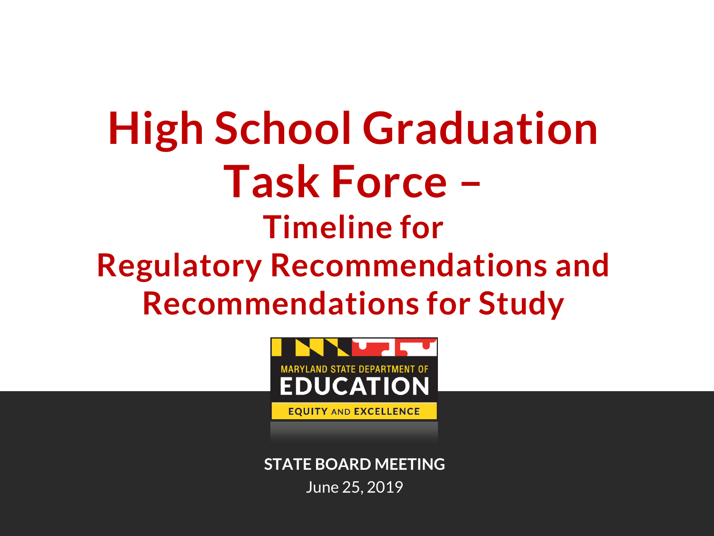# **High School Graduation Task Force – Timeline for Regulatory Recommendations and Recommendations for Study**



**STATE BOARD MEETING**  June 25, 2019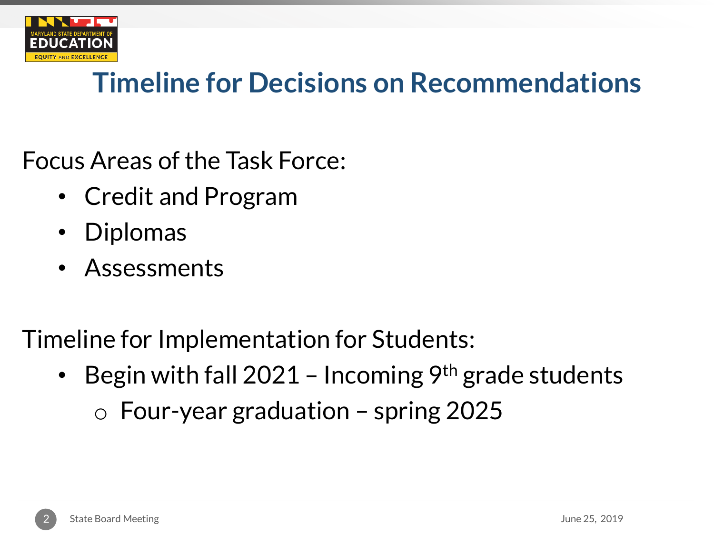

### Timeline for Decisions on Recommendations

Focus Areas of the Task Force:

- Credit and Program
- Diplomas
- Assessments

Timeline for Implementation for Students:

• Begin with fall 2021 – Incoming  $9<sup>th</sup>$  grade students  $\circ$  Four-year graduation – spring 2025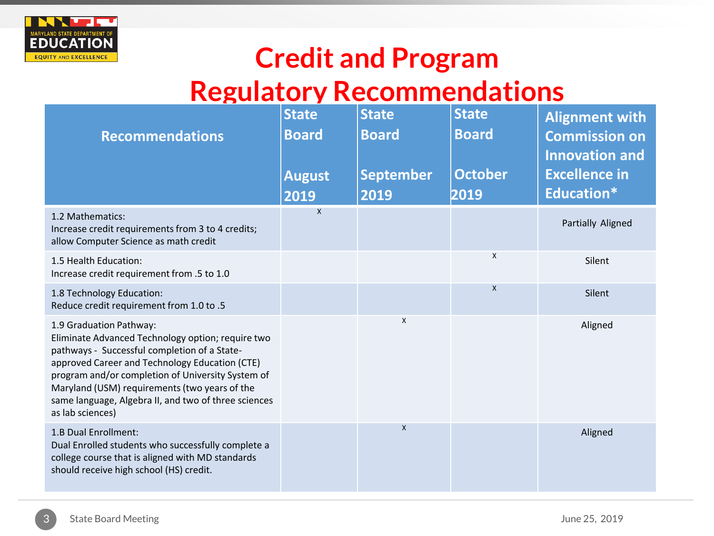

#### Credit and Program

#### Regulatory Recommendations

| <b>Recommendations</b>                                                                                                                                                                                                                                                                                                                                           | <b>State</b><br><b>Board</b><br><b>August</b><br>2019 | <b>State</b><br><b>Board</b><br><b>September</b><br>2019 | <b>State</b><br><b>Board</b><br><b>October</b><br>2019 | <b>Alignment with</b><br><b>Commission on</b><br><b>Innovation and</b><br><b>Excellence in</b><br>Education* |
|------------------------------------------------------------------------------------------------------------------------------------------------------------------------------------------------------------------------------------------------------------------------------------------------------------------------------------------------------------------|-------------------------------------------------------|----------------------------------------------------------|--------------------------------------------------------|--------------------------------------------------------------------------------------------------------------|
| 1.2 Mathematics:<br>Increase credit requirements from 3 to 4 credits;<br>allow Computer Science as math credit                                                                                                                                                                                                                                                   | $\mathsf{x}$                                          |                                                          |                                                        | Partially Aligned                                                                                            |
| 1.5 Health Education:<br>Increase credit requirement from .5 to 1.0                                                                                                                                                                                                                                                                                              |                                                       |                                                          | X                                                      | Silent                                                                                                       |
| 1.8 Technology Education:<br>Reduce credit requirement from 1.0 to .5                                                                                                                                                                                                                                                                                            |                                                       |                                                          | X                                                      | Silent                                                                                                       |
| 1.9 Graduation Pathway:<br>Eliminate Advanced Technology option; require two<br>pathways - Successful completion of a State-<br>approved Career and Technology Education (CTE)<br>program and/or completion of University System of<br>Maryland (USM) requirements (two years of the<br>same language, Algebra II, and two of three sciences<br>as lab sciences) |                                                       | $\mathsf{X}$                                             |                                                        | Aligned                                                                                                      |
| 1.B Dual Enrollment:<br>Dual Enrolled students who successfully complete a<br>college course that is aligned with MD standards<br>should receive high school (HS) credit.                                                                                                                                                                                        |                                                       | X                                                        |                                                        | Aligned                                                                                                      |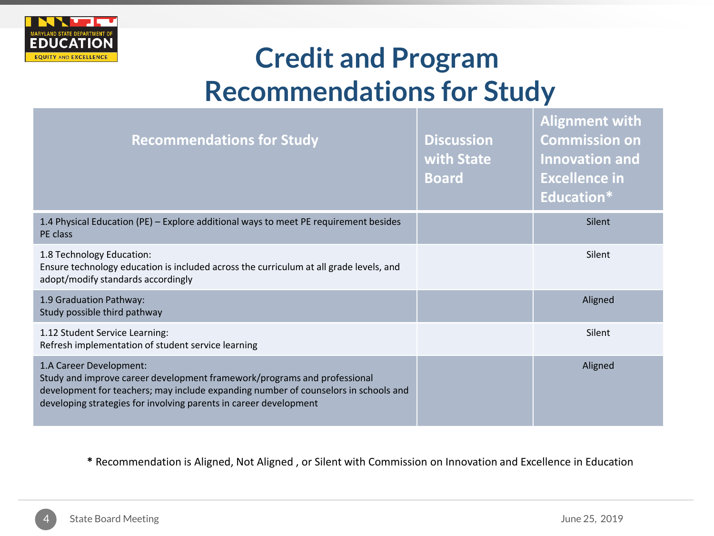

### Credit and Program Recommendations for Study

| <b>Recommendations for Study</b>                                                                                                                                                                                                                                | <b>Discussion</b><br>with State<br><b>Board</b> | AUSIIIIEIK WILLI<br><b>Commission on</b><br><b>Innovation and</b><br><b>Excellence in</b><br><b>Education*</b> |
|-----------------------------------------------------------------------------------------------------------------------------------------------------------------------------------------------------------------------------------------------------------------|-------------------------------------------------|----------------------------------------------------------------------------------------------------------------|
| 1.4 Physical Education (PE) - Explore additional ways to meet PE requirement besides<br>PE class                                                                                                                                                                |                                                 | Silent                                                                                                         |
| 1.8 Technology Education:<br>Ensure technology education is included across the curriculum at all grade levels, and<br>adopt/modify standards accordingly                                                                                                       |                                                 | Silent                                                                                                         |
| 1.9 Graduation Pathway:<br>Study possible third pathway                                                                                                                                                                                                         |                                                 | Aligned                                                                                                        |
| 1.12 Student Service Learning:<br>Refresh implementation of student service learning                                                                                                                                                                            |                                                 | Silent                                                                                                         |
| 1.A Career Development:<br>Study and improve career development framework/programs and professional<br>development for teachers; may include expanding number of counselors in schools and<br>developing strategies for involving parents in career development |                                                 | Aligned                                                                                                        |

**\*** Recommendation is Aligned, Not Aligned , or Silent with Commission on Innovation and Excellence in Education

**Alignment with**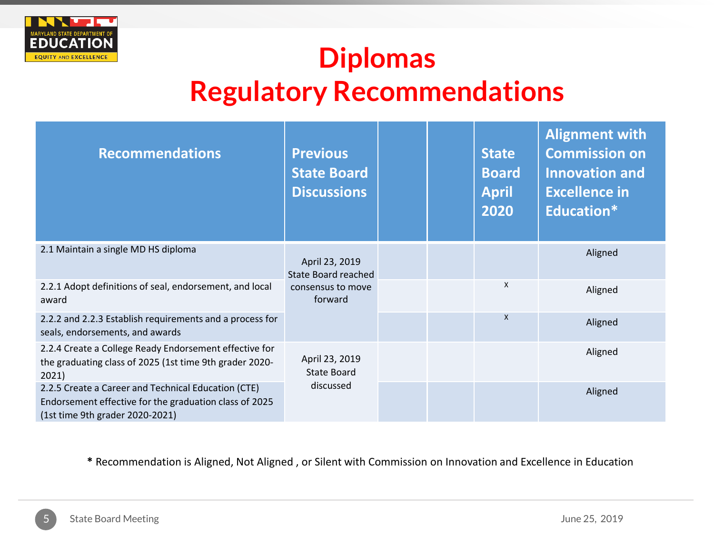

## Diplomas Regulatory Recommendations

| <b>Recommendations</b>                                                                                                                           | <b>Previous</b><br><b>State Board</b><br><b>Discussions</b> |  | <b>State</b><br><b>Board</b><br><b>April</b><br>2020 | <b>Alignment with</b><br><b>Commission on</b><br><b>Innovation and</b><br><b>Excellence in</b><br>Education* |
|--------------------------------------------------------------------------------------------------------------------------------------------------|-------------------------------------------------------------|--|------------------------------------------------------|--------------------------------------------------------------------------------------------------------------|
| 2.1 Maintain a single MD HS diploma                                                                                                              | April 23, 2019<br><b>State Board reached</b>                |  |                                                      | Aligned                                                                                                      |
| 2.2.1 Adopt definitions of seal, endorsement, and local<br>award                                                                                 | consensus to move<br>forward                                |  | $\times$                                             | Aligned                                                                                                      |
| 2.2.2 and 2.2.3 Establish requirements and a process for<br>seals, endorsements, and awards                                                      |                                                             |  | $\mathsf{X}$                                         | Aligned                                                                                                      |
| 2.2.4 Create a College Ready Endorsement effective for<br>the graduating class of 2025 (1st time 9th grader 2020-<br>2021)                       | April 23, 2019<br>State Board                               |  |                                                      | Aligned                                                                                                      |
| 2.2.5 Create a Career and Technical Education (CTE)<br>Endorsement effective for the graduation class of 2025<br>(1st time 9th grader 2020-2021) | discussed                                                   |  |                                                      | Aligned                                                                                                      |

**\*** Recommendation is Aligned, Not Aligned , or Silent with Commission on Innovation and Excellence in Education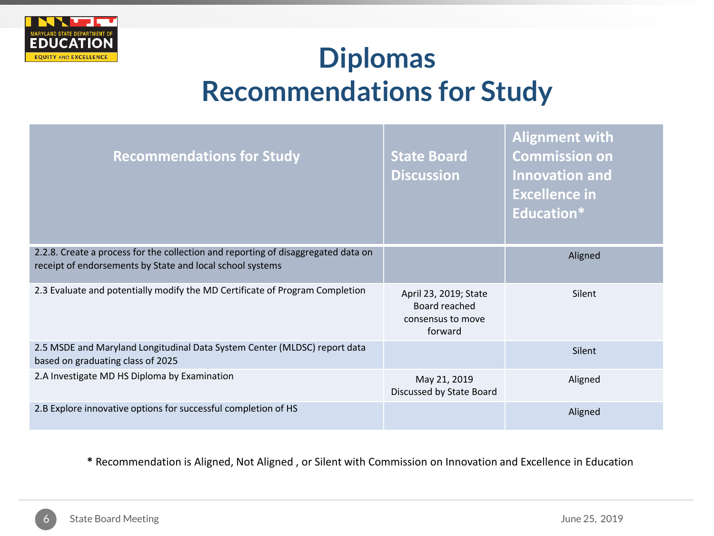

### **Diplomas** Recommendations for Study

| <b>Recommendations for Study</b>                                                                                                               | <b>State Board</b><br><b>Discussion</b>                                | <b>Alignment with</b><br><b>Commission on</b><br><b>Innovation and</b><br><b>Excellence in</b><br><b>Education*</b> |
|------------------------------------------------------------------------------------------------------------------------------------------------|------------------------------------------------------------------------|---------------------------------------------------------------------------------------------------------------------|
| 2.2.8. Create a process for the collection and reporting of disaggregated data on<br>receipt of endorsements by State and local school systems |                                                                        | Aligned                                                                                                             |
| 2.3 Evaluate and potentially modify the MD Certificate of Program Completion                                                                   | April 23, 2019; State<br>Board reached<br>consensus to move<br>forward | Silent                                                                                                              |
| 2.5 MSDE and Maryland Longitudinal Data System Center (MLDSC) report data<br>based on graduating class of 2025                                 |                                                                        | Silent                                                                                                              |
| 2.A Investigate MD HS Diploma by Examination                                                                                                   | May 21, 2019<br>Discussed by State Board                               | Aligned                                                                                                             |
| 2.B Explore innovative options for successful completion of HS                                                                                 |                                                                        | Aligned                                                                                                             |

**\*** Recommendation is Aligned, Not Aligned , or Silent with Commission on Innovation and Excellence in Education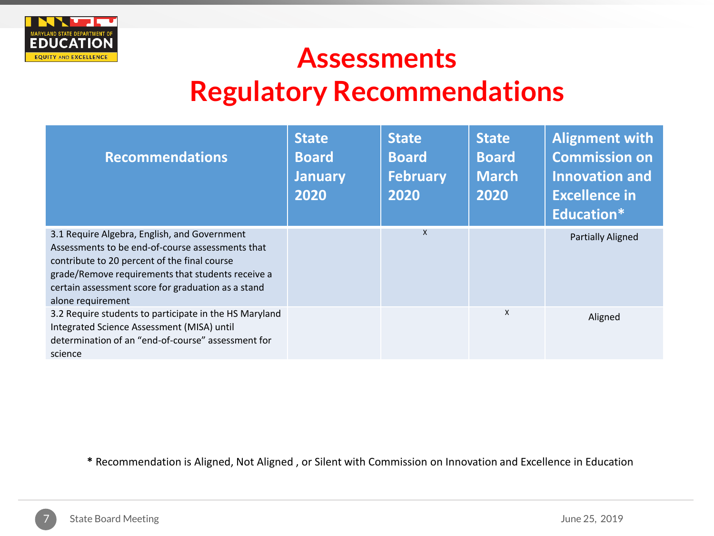

### **Assessments** Regulatory Recommendations

| <b>Recommendations</b>                                                                                                                                                                                                                                                           | <b>State</b><br><b>Board</b><br><b>January</b><br>2020 | <b>State</b><br><b>Board</b><br><b>February</b><br>2020 | <b>State</b><br><b>Board</b><br><b>March</b><br>2020 | <b>Alignment with</b><br><b>Commission on</b><br><b>Innovation and</b><br><b>Excellence in</b><br>Education* |
|----------------------------------------------------------------------------------------------------------------------------------------------------------------------------------------------------------------------------------------------------------------------------------|--------------------------------------------------------|---------------------------------------------------------|------------------------------------------------------|--------------------------------------------------------------------------------------------------------------|
| 3.1 Require Algebra, English, and Government<br>Assessments to be end-of-course assessments that<br>contribute to 20 percent of the final course<br>grade/Remove requirements that students receive a<br>certain assessment score for graduation as a stand<br>alone requirement |                                                        | X                                                       |                                                      | <b>Partially Aligned</b>                                                                                     |
| 3.2 Require students to participate in the HS Maryland<br>Integrated Science Assessment (MISA) until<br>determination of an "end-of-course" assessment for<br>science                                                                                                            |                                                        |                                                         | x                                                    | Aligned                                                                                                      |

**\*** Recommendation is Aligned, Not Aligned , or Silent with Commission on Innovation and Excellence in Education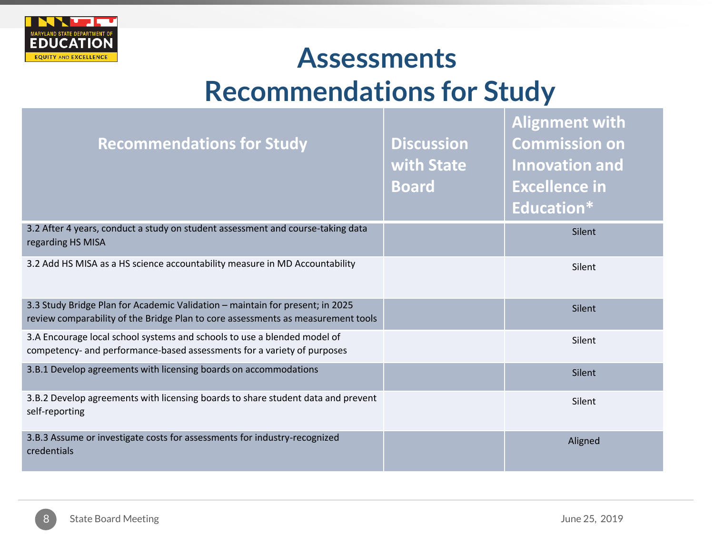

## **Assessments** Recommendations for Study

| <b>Recommendations for Study</b>                                                                                                                                  | <b>Discussion</b><br>with State<br><b>Board</b> | <b>Alignment with</b><br><b>Commission on</b><br><b>Innovation and</b><br><b>Excellence in</b><br><b>Education*</b> |
|-------------------------------------------------------------------------------------------------------------------------------------------------------------------|-------------------------------------------------|---------------------------------------------------------------------------------------------------------------------|
| 3.2 After 4 years, conduct a study on student assessment and course-taking data<br>regarding HS MISA                                                              |                                                 | Silent                                                                                                              |
| 3.2 Add HS MISA as a HS science accountability measure in MD Accountability                                                                                       |                                                 | Silent                                                                                                              |
| 3.3 Study Bridge Plan for Academic Validation - maintain for present; in 2025<br>review comparability of the Bridge Plan to core assessments as measurement tools |                                                 | Silent                                                                                                              |
| 3.A Encourage local school systems and schools to use a blended model of<br>competency- and performance-based assessments for a variety of purposes               |                                                 | Silent                                                                                                              |
| 3.B.1 Develop agreements with licensing boards on accommodations                                                                                                  |                                                 | <b>Silent</b>                                                                                                       |
| 3.B.2 Develop agreements with licensing boards to share student data and prevent<br>self-reporting                                                                |                                                 | Silent                                                                                                              |
| 3.B.3 Assume or investigate costs for assessments for industry-recognized<br>credentials                                                                          |                                                 | Aligned                                                                                                             |